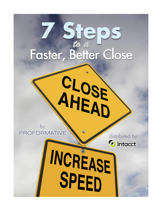# **7 Steps** *to a*

CLOSE<br>AHEAD

by<br>PROFORMATIVE

distributed byC Intacct.

INCREASE SPEED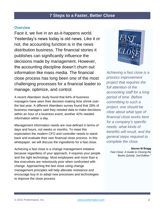## **Overview**

Face it, we live in an as-it-happens world. Yesterday's news today is old news. Like it or not, the accounting function is in the news distribution business. The financial stories it publishes can significantly influence the decisions made by management. However, the accounting discipline doesn't churn out information like mass media. The financial close process has long been one of the most challenging processes for a financial leader to manage, optimize, and control.

A recent Aberdeen study found that 64% of business managers have seen their decision-making time shrink over the last year. A different Aberdeen survey found that 28% of business managers said they needed data to make decisions within an hour of a business event; another 42% needed information within a day.

Management information needs are now defined in terms of days and hours, not weeks or months. To meet this expectation the modern CFO and controller needs to stand back and evaluate their own financial close process. In this whitepaper, we will discuss the ingredients for a fast close.

Achieving a fast close is a change management initiative because regardless of your approach, it requires your people and the right technology. Most employees and more than a few executives are notoriously poor when confronted with change. Approaching the fast close using change management principles will help alleviate resistance and encourage buy-in to adopt new processes and technologies to improve the close process.



*Achieving a fast close is a process improvement project that requires the full attention of the accounting staff for a long period of time. Before committing to such a project, one should be clear about what type of financial close works best for a company's specific needs, what kinds of benefits will result, and the general steps required to complete the close.*

#### **Steven M Bragg**

*Fast Close: A Guide to Closing the Books Quickly, 2nd Edition <sup>1</sup>*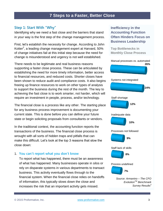### **Step 1: Start With "Why"**

Identifying why we need a fast close and the barriers that stand in your way is the first step of the change management process.

First, let's establish the necessity for change. According to John Kotter<sup>2</sup>, a leading change management expert at Harvard, 50% of change initiatives fail at this initial step because the need for change is misunderstood and urgency is not well established.

There needs to be legitimate and real business reasons supporting a faster close process. These can be articulated by establishing the need for more timely information, better access to financial resources, and reduced costs. Shorter closes have been shown to reduce audit and compliance costs. It also begins freeing up finance resources to work on other types of analysis to support the business during the rest of the month. The key to achieving the fast close is to work smarter, not harder, which will require an investment in people, process, and/or technology.

The financial close is a process like any other. The starting place for any business process improvement is documenting your current state. This is done before you can define your future state or begin soliciting proposals from consultants or vendors.

In the traditional context, the accounting function reports the transactions of the business. The financial close process is wrought with all sorts of hidden traps and pitfalls that can make this difficult. Let's look at the top 3 reasons that slow the close down:

#### 1. **You can't report what you don't know**

To report what has happened, there must be an awareness of what has happened. Many businesses operate in silos or rely on disparate systems in various departments to transact business. This activity eventually flows through to the financial system. When the financial close relies on handoffs of information, this typically slows down the close and increases the risk that an important activity gets missed.

**Inefficiency in the Accounting Function Often Hinders Focus on Business Leadership**

**Top Bottlenecks in Monthly Close Process**

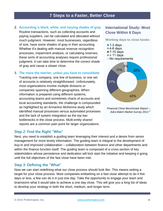## **2. Accounting is black, white, and varying shades of gray** Routine transactions, such as collecting accounts and paying suppliers, can be calculated and allocated without much judgment. However, most businesses, regardless of size, have some shades of gray in their accounting. Whether it's dealing with manual revenue recognition processes, impairment analysis, or calculating reserves, these sorts of accounting analyses require professional judgment. It can take time to determine the correct shade of gray and cause a slower close.

#### 3. **The more the merrier, unless you have to consolidate**

Tracking one company, one line of business, or one set of accounts is relatively straightforward. Unfortunately, most organizations involve multiple divisions or companies spanning different geographies. When information is prepared using different systems, accounting teams and sometimes charts of accounts and local accounting standards, the challenge is compounded as highlighted by an Armanino McKenna study which identified manual processes versus automated processes and the lack of system integration as the top two bottlenecks in the close process. Multi-entity shared reports are a common pain point for larger organizations.

## **Step 2: Find the Right "Who"**

Next, you need to establish a guiding team leveraging their interest and a desire from senior management for more timely information. The guiding team is integral to the development of buy-in and improved collaboration – collaboration between finance and other departments and within the finance function itself. The guiding team is composed of a cross section of key stakeholders whose persistence and dedication will kick start the initiative and keeping it going until the full objectives of the fast close have been met.

## **Step 3: Defining the "What"**

Now we can start redefining what our close process should look like. This means setting a target for your close process. Most companies embarking on a fast close attempt to do it five days or less, a few can do it in just one day. Take the opportunity to engage your team and brainstorm what it would take to achieve a one day close. This will give you a long list of ideas to develop your strategy in both the short, medium, and longer term.

## **International Study: Most Close Within 6 Days**

**Working days to close books**

- $\blacksquare$  1-3 days
- $\blacksquare$  4-6 days
- ■7-10 days
- $\blacktriangleright$  11 days
- $\blacksquare$  No requirements



*Financial Close Benchmark Report – Adra Match Market Survey 2013 <sup>4</sup>*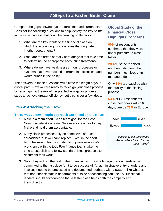Compare the gaps between your future state and current state. Consider the following questions to help identify the key points in the close process that could be creating bottlenecks:

- 1. What are the key inputs to the financial close on which the accounting function relies that originate in other departments?
- 2. What are the areas of really hard analysis that take time to determine the appropriate accounting treatment?
- 3. Where do we have weaknesses in our processes or systems that have resulted in errors, inefficiencies, and workarounds in the past?

The answers to these questions will dictate the length of your critical path. Now you are ready to redesign your close process by reconfiguring the mix of people, technology, or process steps to achieve greater efficiency. Let's consider a few ideas:

## **Step 4: Attacking the "How"**

#### **Three ways a new people approach can speed up the close:**

- 1. Make it a team effort. Set a team goal for the close. Communicate like a team. Give everyone a role to play. Make and hold them accountable.
- 2. Many close processes rely on some level of Excel spreadsheets. If you can't replace Excel in the short term, be sure to train your staff to improve everyone's proficiency with the tool. Few finance teams take the time to establish and follow standard Excel protocols to document their work.

## **Global Study of the Financial Close Highlights Concerns**

**90%** of respondents confirmed that they were under pressure to close faster

**28%** trust the reported numbers; staff trust the numbers much less than managers do

Only **39%** are satisfied with the quality of the closing process

**53%** of US respondents close their books within 6 days, versus **73%** in Europe



*Report –Adra Match Market Survey 2013 <sup>4</sup>*

3. Solicit buy-in from the rest of the organization. The whole organization needs to be committed to the fast close for it to be successful. All administrative entry of orders and invoices need to be processed and documented, perhaps with a system, like Chatter, that non-finance staff in departments outside of accounting can use. All functional leaders should acknowledge that a faster close helps both the company and them directly.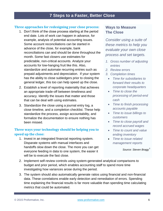### **Three approaches for redesigning your close process:**

- 1. Don't think of the close process starting at the period end date. Lots of work can happen in advance, for example, analysis of potential accounting issues. Some account reconciliations can be started in advance of the close, for example, bank reconciliations can and should be done throughout the month. Some fast closers use estimates for predictable, non-critical accounts. Analyze your accounts for low-hanging fruit like this. Also, standardize and automate recurring entries such as prepaid adjustments and depreciation. If your system has the ability to close subledgers prior to closing the general ledger, this too can help speed up the close.
- 2. Establish a level of reporting materiality that achieves an appropriate trade-off between timeliness and accuracy. Identify the issues that matter and those that can be deal with using estimates.
- 3. Standardize the close using a journal entry log, a close timeline, and a completion checklist. These help standardize the process, assign accountability, and formalize the documentation to ensure nothing has been missed.

## **Three ways your technology should be helping you to speed up the close:**

1. Invest in an integrated financial reporting system. Disparate systems with manual interfaces and handoffs slow down the close. The more you can get everyone feeding in data to one system, the easier it will be to execute the fast close.

## **Ways to Measure The Close**

*Consider using a suite of these metrics to help you evaluate your own close process and set targets.*

- *1. Gross number of adjusting entries*
- *2. Review errors*
- *3. Completion times*
- *Time for subsidiaries to forward their results to corporate headquarters*
- *Time to close the processing of period-end cash*
- *Time to finish processing accounts payable*
- *Time to issue billings to customers*
- *Time to close payroll and record accrued wages*
- *Time to count and value ending inventory*
- *Time to issue related management reports*

#### *Source: Steven Bragg <sup>5</sup>*

- 2. Implement self-review controls using system-generated analytical comparisons to budget and prior period, which enables accounting staff to spend more time investigating how variances arose during the period.
- 3. The system should also automatically generate ratios using financial and non-financial data. These correlations enable early detection and remediation of errors. Spending time explaining the financial results is far more valuable than spending time calculating metrics that could be automated.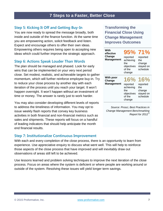## **Step 5: Kicking It Off and Getting Buy-In**

You are now ready to spread the message broadly, both inside and outside of the finance function. At the same time you are empowering action, solicit feedback and listen. Expect and encourage others to offer their own ideas. Empowering others requires being open to accepting new ideas which could further improve the strategic approach.

## **Step 6: Actions Speak Louder Than Words**

The plan should be managed and phased. Look for early wins that can be implemented on your very next period close. Set modest, realistic, and achievable targets to gather momentum, which will further reinforce employee buy-in. Try to reduce your close process by another day with each iteration of the process until you reach your target. It won't happen overnight. It won't happen without an investment of time or money. The answer is rarely just to work harder.

You may also consider developing different levels of reports to address the timeliness of information. You may opt to issue weekly flash reports that convey key business activities in both financial and non-financial metrics such as sales and shipments. These reports will focus on a handful of leading indicators that should help anticipate the month end financial results.

### **Step 7: Institutionalize Continuous Improvement**

With each and every completion of the close process, there is an opportunity to learn from experience. Use appreciative enquiry to discuss what went well. This will help to reinforce those aspects of the close process that have improved and will inevitably draw out observations of areas still left to be achieved.

Use lessons learned and problem solving techniques to improve the next iteration of the close process. Focus on areas where the system is deficient or where people are working around or outside of the system. Resolving these issues will yield longer term savings.

**Transforming the Financial Close Using Change Management Improves Outcomes**

| With<br>effective<br>Change<br><b>Management</b> | 95% 71%<br>reported<br>achieving<br>the<br>objectives<br>of the<br>change | reported<br>the<br>change<br>stayed on<br>schedule        |
|--------------------------------------------------|---------------------------------------------------------------------------|-----------------------------------------------------------|
| With poor<br>Change<br><b>Management</b>         | 16%<br>reported<br>achieving<br>the<br>objectives<br>of the<br>change     | 16%<br>reported<br>the<br>change<br>stayed on<br>schedule |

*Source: Prosci, Best Practices in Change Management Benchmarking Report for 2012 <sup>6</sup>*